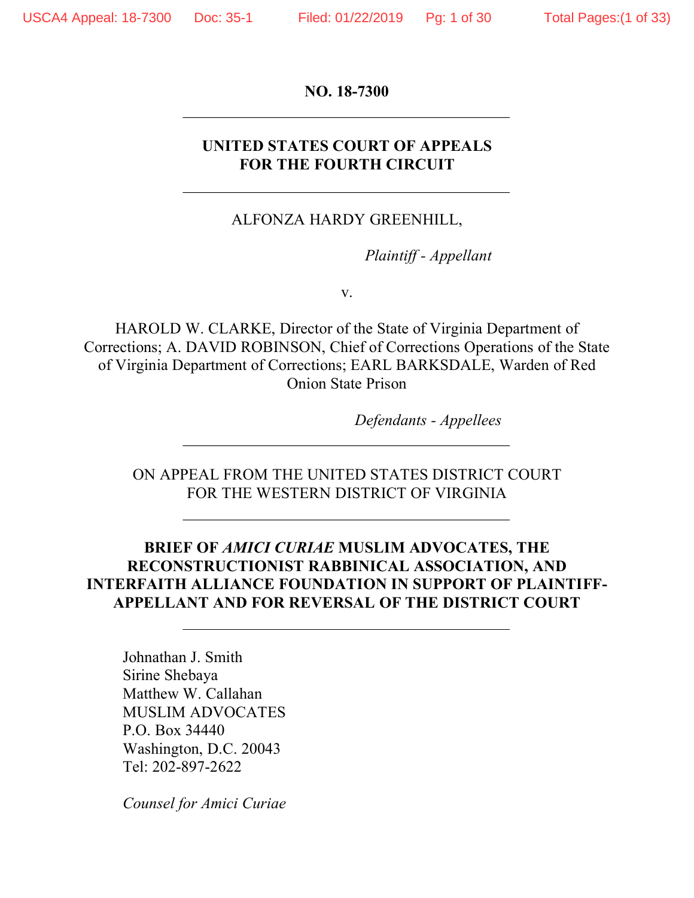**NO. 18-7300**

### **UNITED STATES COURT OF APPEALS FOR THE FOURTH CIRCUIT**

### ALFONZA HARDY GREENHILL,

*Plaintiff - Appellant*

v.

HAROLD W. CLARKE, Director of the State of Virginia Department of Corrections; A. DAVID ROBINSON, Chief of Corrections Operations of the State of Virginia Department of Corrections; EARL BARKSDALE, Warden of Red Onion State Prison

*Defendants - Appellees*

ON APPEAL FROM THE UNITED STATES DISTRICT COURT FOR THE WESTERN DISTRICT OF VIRGINIA

### **BRIEF OF** *AMICI CURIAE* **MUSLIM ADVOCATES, THE RECONSTRUCTIONIST RABBINICAL ASSOCIATION, AND INTERFAITH ALLIANCE FOUNDATION IN SUPPORT OF PLAINTIFF-APPELLANT AND FOR REVERSAL OF THE DISTRICT COURT**

Johnathan J. Smith Sirine Shebaya Matthew W. Callahan MUSLIM ADVOCATES P.O. Box 34440 Washington, D.C. 20043 Tel: 202-897-2622

*Counsel for Amici Curiae*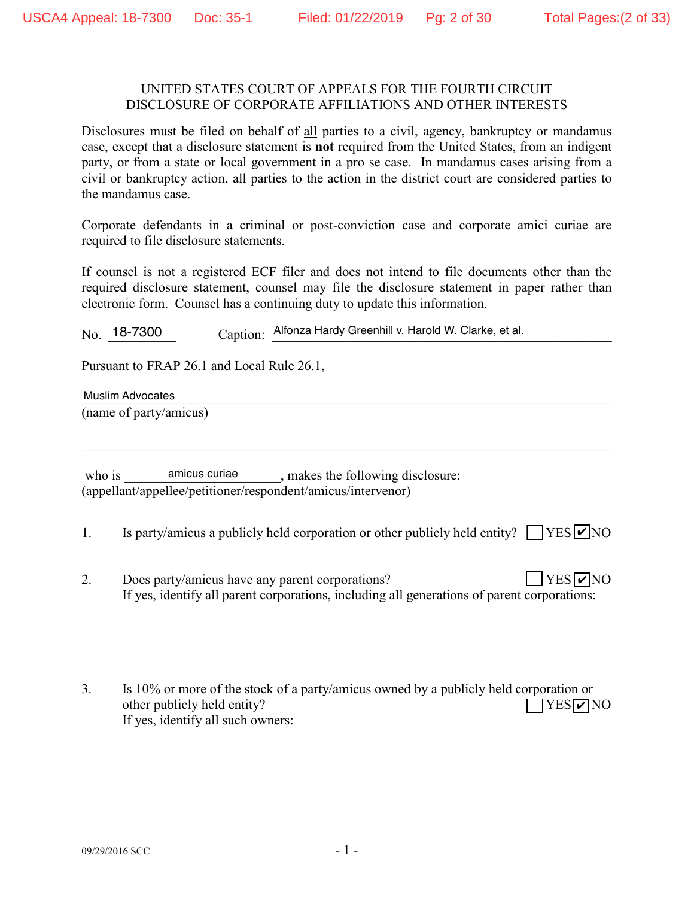#### UNITED STATES COURT OF APPEALS FOR THE FOURTH CIRCUIT DISCLOSURE OF CORPORATE AFFILIATIONS AND OTHER INTERESTS

Disclosures must be filed on behalf of all parties to a civil, agency, bankruptcy or mandamus case, except that a disclosure statement is **not** required from the United States, from an indigent party, or from a state or local government in a pro se case. In mandamus cases arising from a civil or bankruptcy action, all parties to the action in the district court are considered parties to the mandamus case.

Corporate defendants in a criminal or post-conviction case and corporate amici curiae are required to file disclosure statements.

If counsel is not a registered ECF filer and does not intend to file documents other than the required disclosure statement, counsel may file the disclosure statement in paper rather than electronic form. Counsel has a continuing duty to update this information.

No. 18-7300 Caption: Alfonza Hardy Greenhill v. Harold W. Clarke, et al.

Pursuant to FRAP 26.1 and Local Rule 26.1,

Muslim Advocates

(name of party/amicus)

who is \_\_\_\_\_\_\_\_\_\_\_\_\_\_\_\_\_\_\_\_\_\_\_\_\_\_\_\_\_\_\_\_\_\_, makes the following disclosure: (appellant/appellee/petitioner/respondent/amicus/intervenor)

1. Is party/amicus a publicly held corporation or other publicly held entity?  $\Box$  YES  $\Box$  NO

 $\mathcal{L}_\mathcal{L} = \{ \mathcal{L}_\mathcal{L} = \{ \mathcal{L}_\mathcal{L} = \{ \mathcal{L}_\mathcal{L} = \{ \mathcal{L}_\mathcal{L} = \{ \mathcal{L}_\mathcal{L} = \{ \mathcal{L}_\mathcal{L} = \{ \mathcal{L}_\mathcal{L} = \{ \mathcal{L}_\mathcal{L} = \{ \mathcal{L}_\mathcal{L} = \{ \mathcal{L}_\mathcal{L} = \{ \mathcal{L}_\mathcal{L} = \{ \mathcal{L}_\mathcal{L} = \{ \mathcal{L}_\mathcal{L} = \{ \mathcal{L}_\mathcal{$ 

- 2. Does party/amicus have any parent corporations? If yes, identify all parent corporations, including all generations of parent corporations:  $YES$   $\nabla$  NO
- 3. Is 10% or more of the stock of a party/amicus owned by a publicly held corporation or other publicly held entity? If yes, identify all such owners:  $\Box$ YES $\nabla$ NO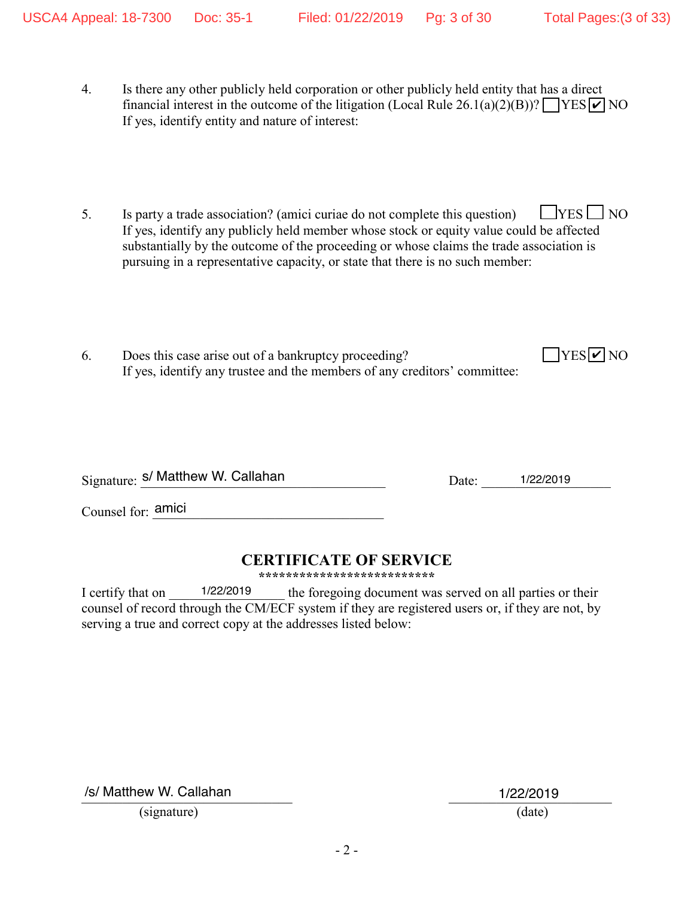$YES$   $\overline{V}$  NO

- 4. Is there any other publicly held corporation or other publicly held entity that has a direct financial interest in the outcome of the litigation (Local Rule 26.1(a)(2)(B))?  $\sqrt{\text{YES} \cdot \text{V}}$  NO If yes, identify entity and nature of interest:
- 5. Is party a trade association? (amici curiae do not complete this question)  $\Box$  YES  $\Box$  NO If yes, identify any publicly held member whose stock or equity value could be affected substantially by the outcome of the proceeding or whose claims the trade association is pursuing in a representative capacity, or state that there is no such member:
- 6. Does this case arise out of a bankruptcy proceeding? If yes, identify any trustee and the members of any creditors' committee:

Signature: S/ Matthew W. Callahan 1/22/2019 Date: 1/22/2019

Counsel for:  $\frac{1}{2}$  amici

### **CERTIFICATE OF SERVICE**

**\*\*\*\*\*\*\*\*\*\*\*\*\*\*\*\*\*\*\*\*\*\*\*\*\*\***

I certify that on  $\frac{1}{22/2019}$  the foregoing document was served on all parties or their counsel of record through the CM/ECF system if they are registered users or, if they are not, by serving a true and correct copy at the addresses listed below: 1/22/2019

/s/ Matthew W. Callahan 1/22/2019

(signature) (date)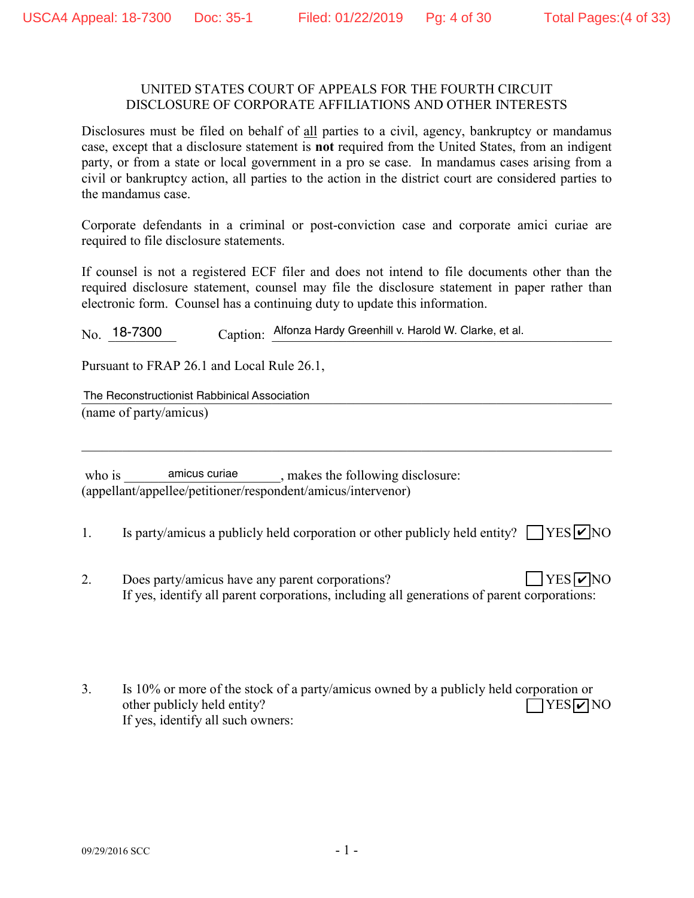#### UNITED STATES COURT OF APPEALS FOR THE FOURTH CIRCUIT DISCLOSURE OF CORPORATE AFFILIATIONS AND OTHER INTERESTS

Disclosures must be filed on behalf of all parties to a civil, agency, bankruptcy or mandamus case, except that a disclosure statement is **not** required from the United States, from an indigent party, or from a state or local government in a pro se case. In mandamus cases arising from a civil or bankruptcy action, all parties to the action in the district court are considered parties to the mandamus case.

Corporate defendants in a criminal or post-conviction case and corporate amici curiae are required to file disclosure statements.

If counsel is not a registered ECF filer and does not intend to file documents other than the required disclosure statement, counsel may file the disclosure statement in paper rather than electronic form. Counsel has a continuing duty to update this information.

No. 18-7300 Caption: Alfonza Hardy Greenhill v. Harold W. Clarke, et al.

Pursuant to FRAP 26.1 and Local Rule 26.1,

The Reconstructionist Rabbinical Association<br>
The Reconstructionist Rabbinical Association (name of party/amicus)

who is \_\_\_\_\_\_\_\_\_\_\_\_\_\_\_\_\_\_\_\_\_\_\_\_\_\_\_\_\_\_\_\_\_\_, makes the following disclosure: (appellant/appellee/petitioner/respondent/amicus/intervenor)

1. Is party/amicus a publicly held corporation or other publicly held entity?  $\Box$  YES  $\Box$  NO

 $\mathcal{L}_\mathcal{L} = \{ \mathcal{L}_\mathcal{L} = \{ \mathcal{L}_\mathcal{L} = \{ \mathcal{L}_\mathcal{L} = \{ \mathcal{L}_\mathcal{L} = \{ \mathcal{L}_\mathcal{L} = \{ \mathcal{L}_\mathcal{L} = \{ \mathcal{L}_\mathcal{L} = \{ \mathcal{L}_\mathcal{L} = \{ \mathcal{L}_\mathcal{L} = \{ \mathcal{L}_\mathcal{L} = \{ \mathcal{L}_\mathcal{L} = \{ \mathcal{L}_\mathcal{L} = \{ \mathcal{L}_\mathcal{L} = \{ \mathcal{L}_\mathcal{$ 

- 2. Does party/amicus have any parent corporations? If yes, identify all parent corporations, including all generations of parent corporations:  $YES$   $\nabla$  NO
- 3. Is 10% or more of the stock of a party/amicus owned by a publicly held corporation or other publicly held entity? If yes, identify all such owners:  $\Box$ YES $\nabla$ NO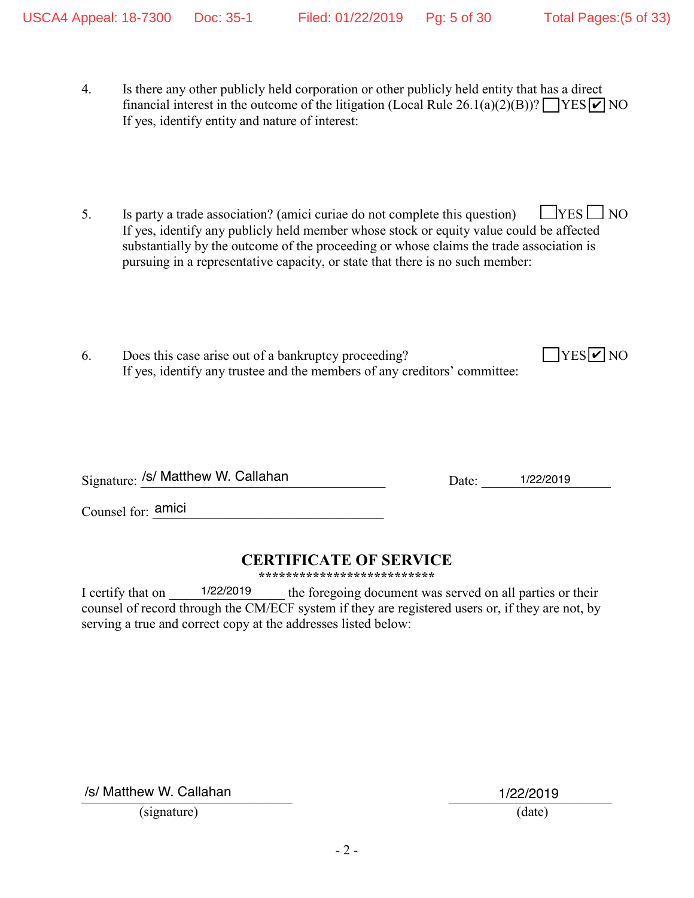$YES$   $\overline{V}$  NO

- 4. Is there any other publicly held corporation or other publicly held entity that has a direct financial interest in the outcome of the litigation (Local Rule 26.1(a)(2)(B))?  $\sqrt{\text{YES} \cdot \text{V}}$  NO If yes, identify entity and nature of interest:
- 5. Is party a trade association? (amici curiae do not complete this question)  $\Box$  YES  $\Box$  NO If yes, identify any publicly held member whose stock or equity value could be affected substantially by the outcome of the proceeding or whose claims the trade association is pursuing in a representative capacity, or state that there is no such member:
- 6. Does this case arise out of a bankruptcy proceeding? If yes, identify any trustee and the members of any creditors' committee:

Signature: /s/ Matthew W. Callahan 1/22/2019 Date: 1/22/2019

Counsel for:  $\frac{1}{2}$  amici

### **CERTIFICATE OF SERVICE**

**\*\*\*\*\*\*\*\*\*\*\*\*\*\*\*\*\*\*\*\*\*\*\*\*\*\***

I certify that on  $\frac{1}{22/2019}$  the foregoing document was served on all parties or their counsel of record through the CM/ECF system if they are registered users or, if they are not, by serving a true and correct copy at the addresses listed below: 1/22/2019

/s/ Matthew W. Callahan 1/22/2019

(signature) (date)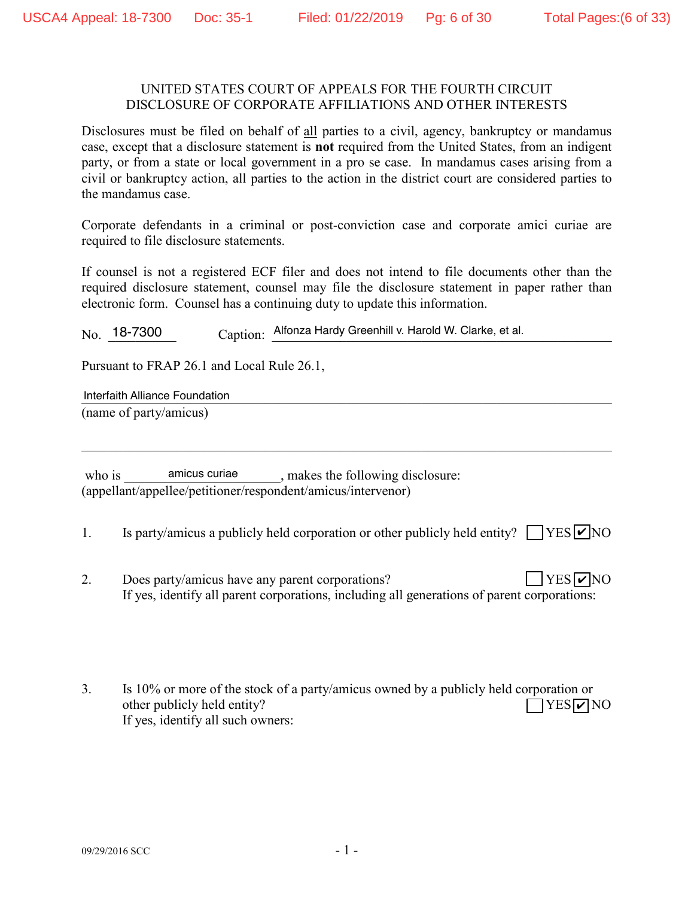#### UNITED STATES COURT OF APPEALS FOR THE FOURTH CIRCUIT DISCLOSURE OF CORPORATE AFFILIATIONS AND OTHER INTERESTS

Disclosures must be filed on behalf of all parties to a civil, agency, bankruptcy or mandamus case, except that a disclosure statement is **not** required from the United States, from an indigent party, or from a state or local government in a pro se case. In mandamus cases arising from a civil or bankruptcy action, all parties to the action in the district court are considered parties to the mandamus case.

Corporate defendants in a criminal or post-conviction case and corporate amici curiae are required to file disclosure statements.

If counsel is not a registered ECF filer and does not intend to file documents other than the required disclosure statement, counsel may file the disclosure statement in paper rather than electronic form. Counsel has a continuing duty to update this information.

No. 18-7300 Caption: Alfonza Hardy Greenhill v. Harold W. Clarke, et al.

Pursuant to FRAP 26.1 and Local Rule 26.1,

Interfaith Alliance Foundation **Executive Service Contract of the Contract of Contract of Contract of Contract of Contract of Contract of Contract of Contract of Contract of Contract of Contract of Contract of Contract of** (name of party/amicus)

who is \_\_\_\_\_\_\_\_\_\_\_\_\_\_\_\_\_\_\_\_\_\_\_\_\_\_\_\_\_\_\_\_\_\_, makes the following disclosure: (appellant/appellee/petitioner/respondent/amicus/intervenor)

1. Is party/amicus a publicly held corporation or other publicly held entity?  $\Box$  YES  $\Box$  NO

 $\mathcal{L}_\mathcal{L} = \{ \mathcal{L}_\mathcal{L} = \{ \mathcal{L}_\mathcal{L} = \{ \mathcal{L}_\mathcal{L} = \{ \mathcal{L}_\mathcal{L} = \{ \mathcal{L}_\mathcal{L} = \{ \mathcal{L}_\mathcal{L} = \{ \mathcal{L}_\mathcal{L} = \{ \mathcal{L}_\mathcal{L} = \{ \mathcal{L}_\mathcal{L} = \{ \mathcal{L}_\mathcal{L} = \{ \mathcal{L}_\mathcal{L} = \{ \mathcal{L}_\mathcal{L} = \{ \mathcal{L}_\mathcal{L} = \{ \mathcal{L}_\mathcal{$ 

- 2. Does party/amicus have any parent corporations? If yes, identify all parent corporations, including all generations of parent corporations:  $YES$   $\nabla$  NO
- 3. Is 10% or more of the stock of a party/amicus owned by a publicly held corporation or other publicly held entity? If yes, identify all such owners:  $\Box$ YES $\nabla$ NO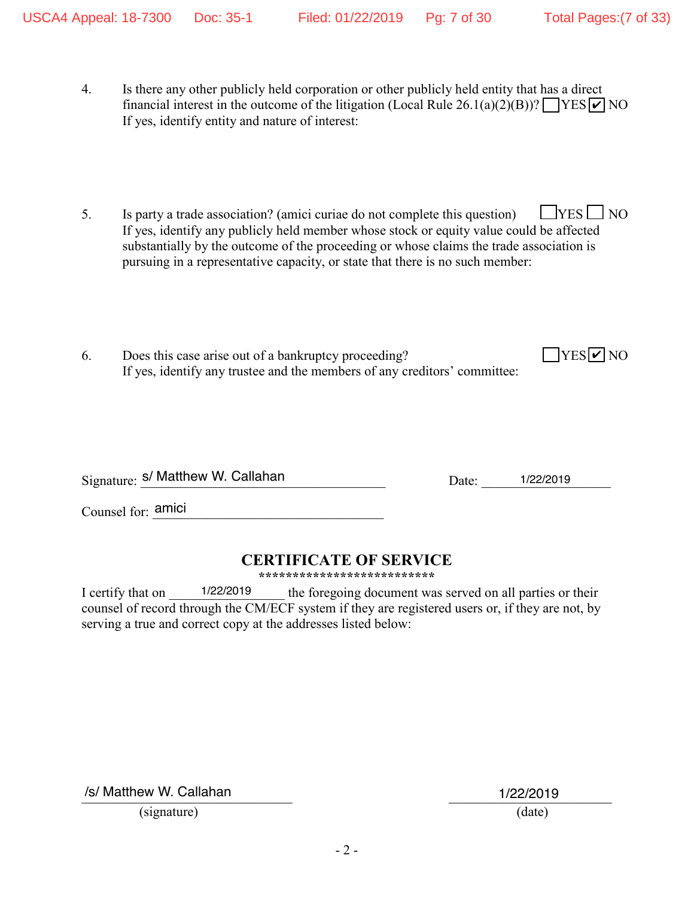$YES$   $\overline{V}$  NO

- 4. Is there any other publicly held corporation or other publicly held entity that has a direct financial interest in the outcome of the litigation (Local Rule 26.1(a)(2)(B))?  $\sqrt{\text{YES} \cdot \text{V}}$  NO If yes, identify entity and nature of interest:
- 5. Is party a trade association? (amici curiae do not complete this question)  $\Box$  YES  $\Box$  NO If yes, identify any publicly held member whose stock or equity value could be affected substantially by the outcome of the proceeding or whose claims the trade association is pursuing in a representative capacity, or state that there is no such member:
- 6. Does this case arise out of a bankruptcy proceeding? If yes, identify any trustee and the members of any creditors' committee:

Signature: S/ Matthew W. Callahan 1/22/2019 Date: 1/22/2019

Counsel for:  $\frac{1}{2}$  amici

### **CERTIFICATE OF SERVICE**

**\*\*\*\*\*\*\*\*\*\*\*\*\*\*\*\*\*\*\*\*\*\*\*\*\*\***

I certify that on  $\frac{1}{22/2019}$  the foregoing document was served on all parties or their counsel of record through the CM/ECF system if they are registered users or, if they are not, by serving a true and correct copy at the addresses listed below: 1/22/2019

/s/ Matthew W. Callahan 1/22/2019

(signature) (date)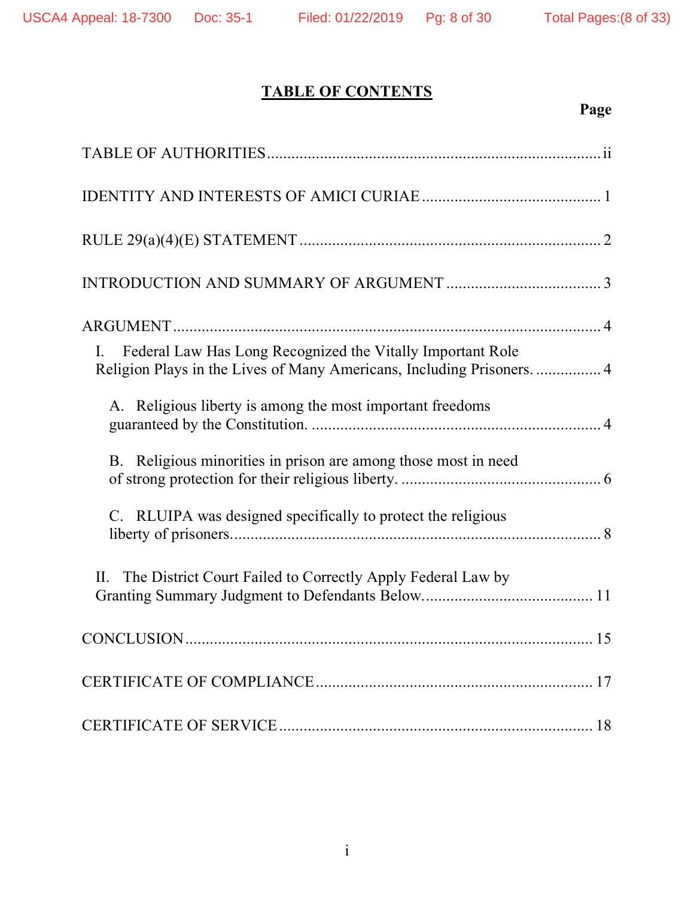# **TABLE OF CONTENTS**

# **Page**

| Federal Law Has Long Recognized the Vitally Important Role<br>$\mathbf{I}$ .<br>Religion Plays in the Lives of Many Americans, Including Prisoners.  4 |
|--------------------------------------------------------------------------------------------------------------------------------------------------------|
| A. Religious liberty is among the most important freedoms                                                                                              |
| B. Religious minorities in prison are among those most in need                                                                                         |
| C. RLUIPA was designed specifically to protect the religious                                                                                           |
| II. The District Court Failed to Correctly Apply Federal Law by                                                                                        |
|                                                                                                                                                        |
|                                                                                                                                                        |
|                                                                                                                                                        |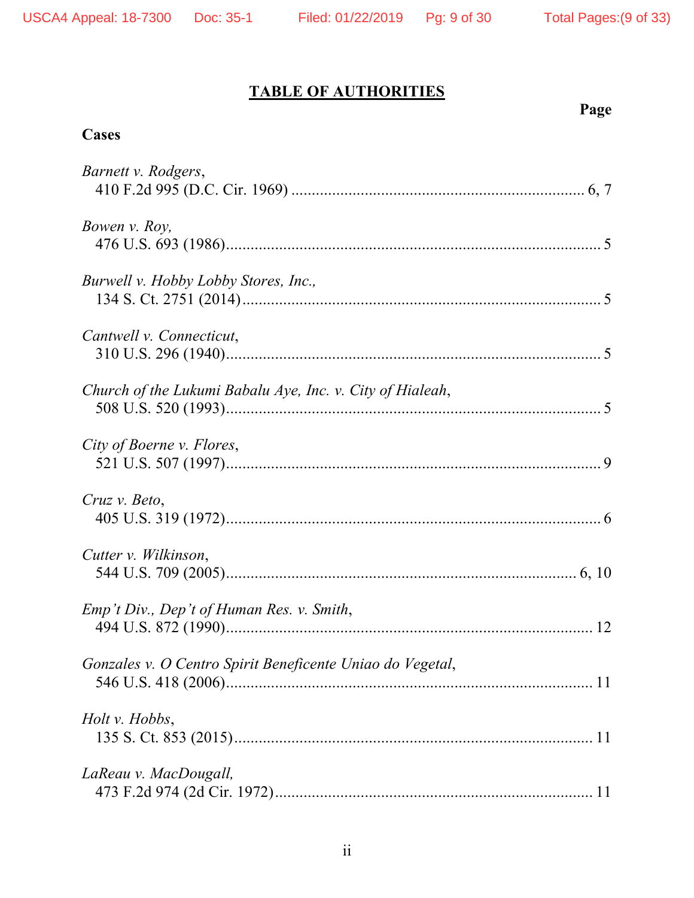# **TABLE OF AUTHORITIES**

# **Page**

# **Cases**

| Barnett v. Rodgers,                                       |
|-----------------------------------------------------------|
| Bowen v. Roy,                                             |
| Burwell v. Hobby Lobby Stores, Inc.,                      |
| Cantwell v. Connecticut,                                  |
| Church of the Lukumi Babalu Aye, Inc. v. City of Hialeah, |
| City of Boerne v. Flores,                                 |
| Cruz v. Beto,                                             |
| Cutter v. Wilkinson,                                      |
| Emp't Div., Dep't of Human Res. v. Smith,                 |
| Gonzales v. O Centro Spirit Beneficente Uniao do Vegetal, |
| Holt v. Hobbs,                                            |
| LaReau v. MacDougall,                                     |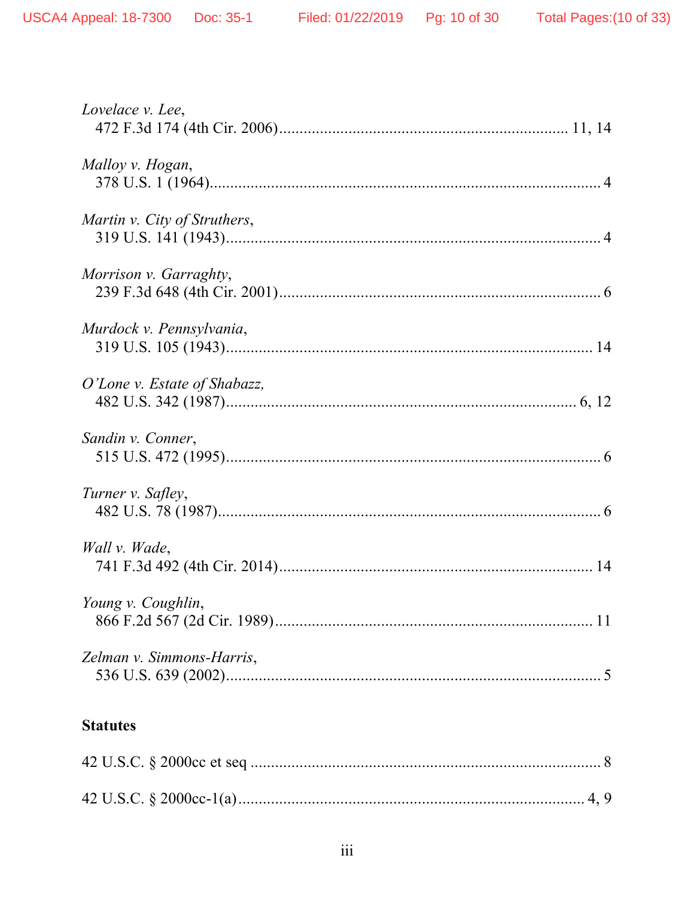| Lovelace v. Lee,             |
|------------------------------|
| Malloy v. Hogan,             |
| Martin v. City of Struthers, |
| Morrison v. Garraghty,       |
| Murdock v. Pennsylvania,     |
| O'Lone v. Estate of Shabazz, |
| Sandin v. Conner,            |
| Turner v. Safley,            |
| Wall v. Wade,                |
| Young v. Coughlin,           |
| Zelman v. Simmons-Harris,    |
| <b>Statutes</b>              |

#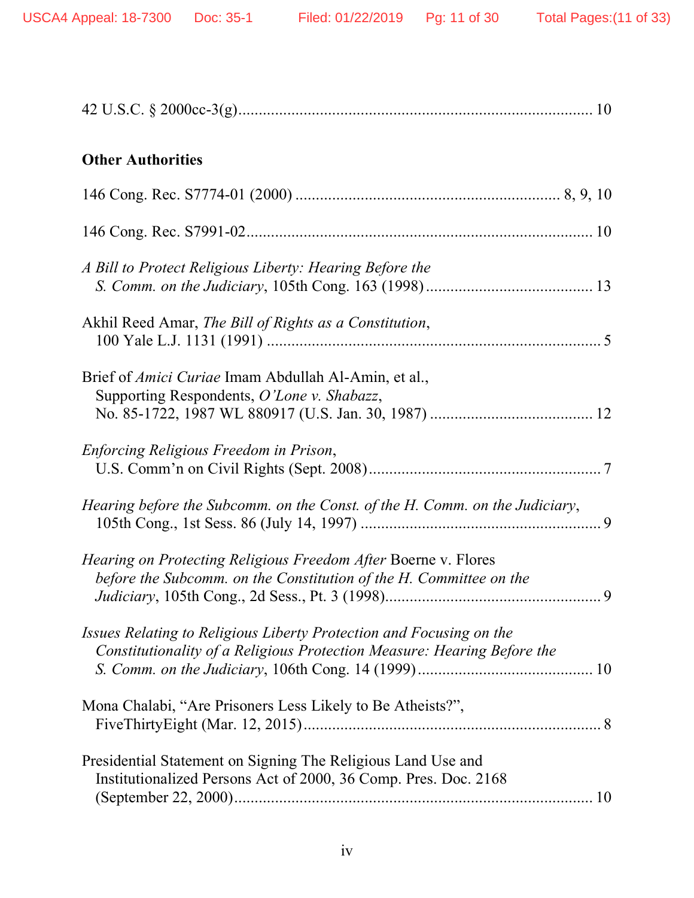| <b>Other Authorities</b>                                                                                                                       |
|------------------------------------------------------------------------------------------------------------------------------------------------|
|                                                                                                                                                |
|                                                                                                                                                |
| A Bill to Protect Religious Liberty: Hearing Before the                                                                                        |
| Akhil Reed Amar, The Bill of Rights as a Constitution,                                                                                         |
| Brief of <i>Amici Curiae</i> Imam Abdullah Al-Amin, et al.,<br>Supporting Respondents, O'Lone v. Shabazz,                                      |
| Enforcing Religious Freedom in Prison,                                                                                                         |
| Hearing before the Subcomm. on the Const. of the H. Comm. on the Judiciary,                                                                    |
| <i>Hearing on Protecting Religious Freedom After Boerne v. Flores</i><br>before the Subcomm. on the Constitution of the H. Committee on the    |
| Issues Relating to Religious Liberty Protection and Focusing on the<br>Constitutionality of a Religious Protection Measure: Hearing Before the |
| Mona Chalabi, "Are Prisoners Less Likely to Be Atheists?",                                                                                     |
| Presidential Statement on Signing The Religious Land Use and<br>Institutionalized Persons Act of 2000, 36 Comp. Pres. Doc. 2168                |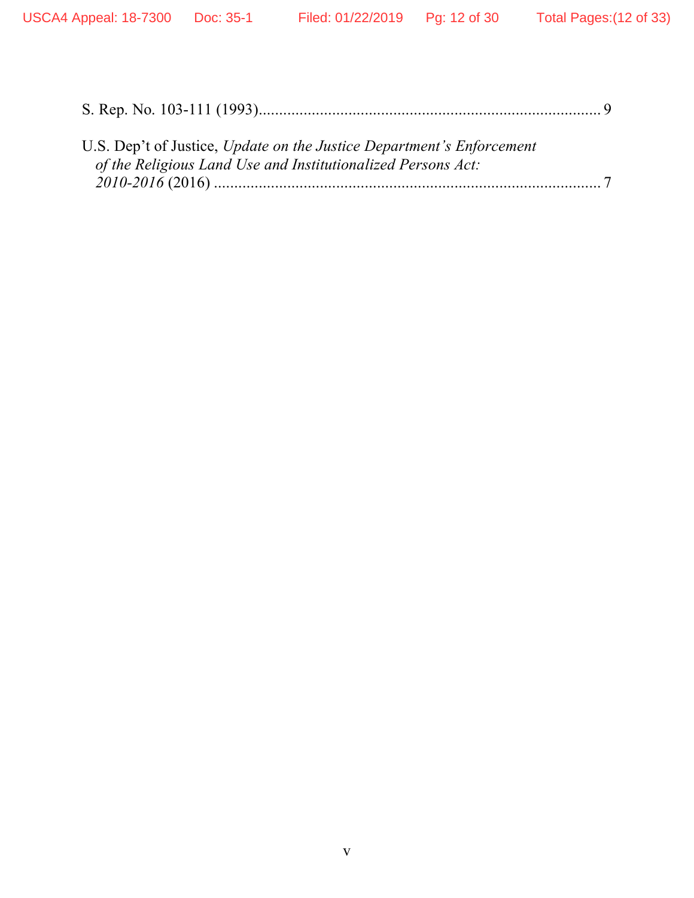| U.S. Dep't of Justice, Update on the Justice Department's Enforcement |  |
|-----------------------------------------------------------------------|--|
| of the Religious Land Use and Institutionalized Persons Act:          |  |
|                                                                       |  |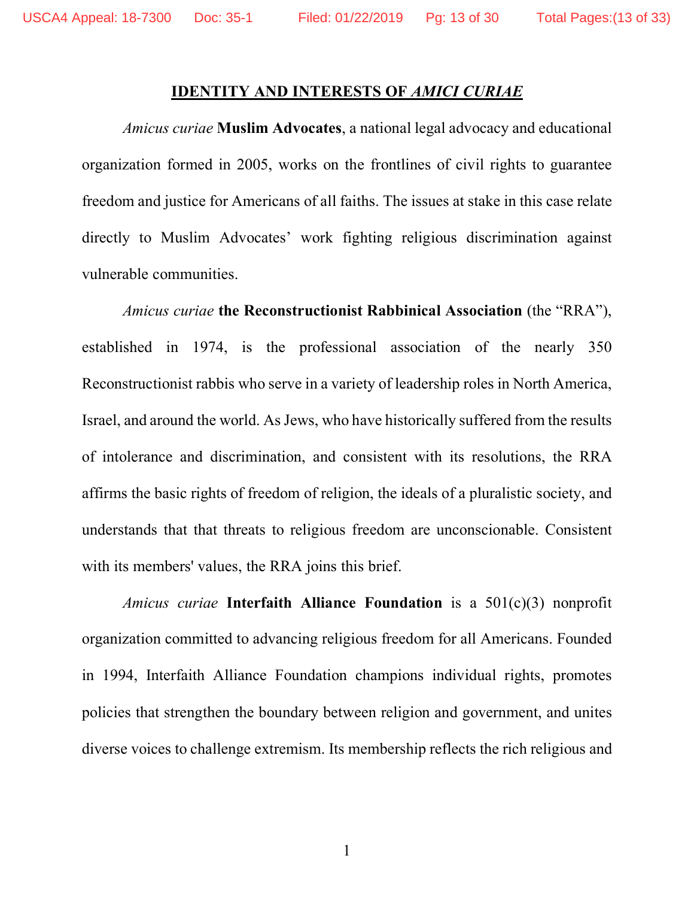### **IDENTITY AND INTERESTS OF** *AMICI CURIAE*

*Amicus curiae* **Muslim Advocates**, a national legal advocacy and educational organization formed in 2005, works on the frontlines of civil rights to guarantee freedom and justice for Americans of all faiths. The issues at stake in this case relate directly to Muslim Advocates' work fighting religious discrimination against vulnerable communities.

*Amicus curiae* **the Reconstructionist Rabbinical Association** (the "RRA"), established in 1974, is the professional association of the nearly 350 Reconstructionist rabbis who serve in a variety of leadership roles in North America, Israel, and around the world. As Jews, who have historically suffered from the results of intolerance and discrimination, and consistent with its resolutions, the RRA affirms the basic rights of freedom of religion, the ideals of a pluralistic society, and understands that that threats to religious freedom are unconscionable. Consistent with its members' values, the RRA joins this brief.

*Amicus curiae* **Interfaith Alliance Foundation** is a 501(c)(3) nonprofit organization committed to advancing religious freedom for all Americans. Founded in 1994, Interfaith Alliance Foundation champions individual rights, promotes policies that strengthen the boundary between religion and government, and unites diverse voices to challenge extremism. Its membership reflects the rich religious and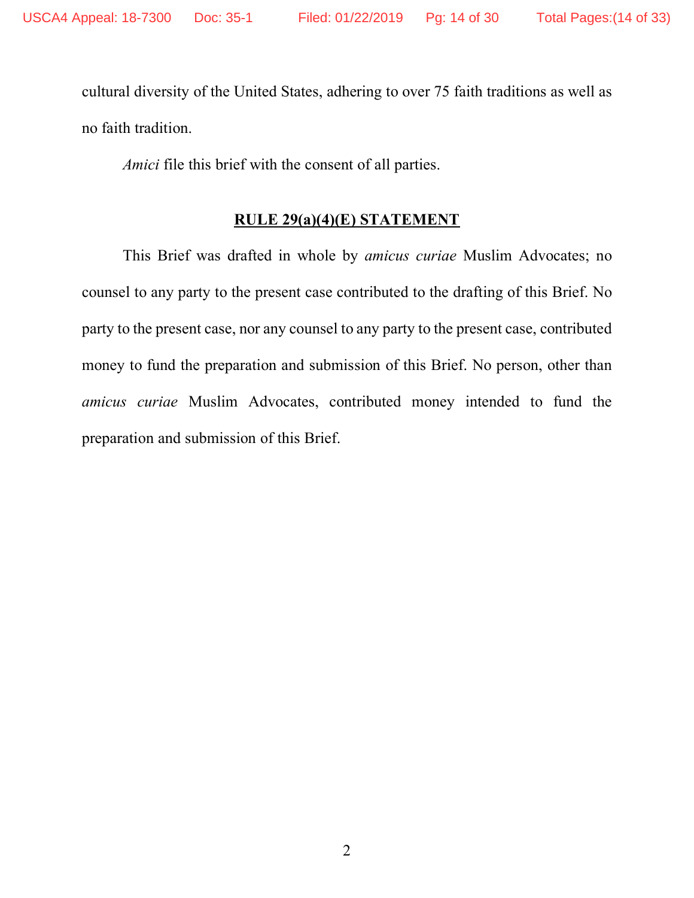cultural diversity of the United States, adhering to over 75 faith traditions as well as no faith tradition.

*Amici* file this brief with the consent of all parties.

### **RULE 29(a)(4)(E) STATEMENT**

This Brief was drafted in whole by *amicus curiae* Muslim Advocates; no counsel to any party to the present case contributed to the drafting of this Brief. No party to the present case, nor any counsel to any party to the present case, contributed money to fund the preparation and submission of this Brief. No person, other than *amicus curiae* Muslim Advocates, contributed money intended to fund the preparation and submission of this Brief.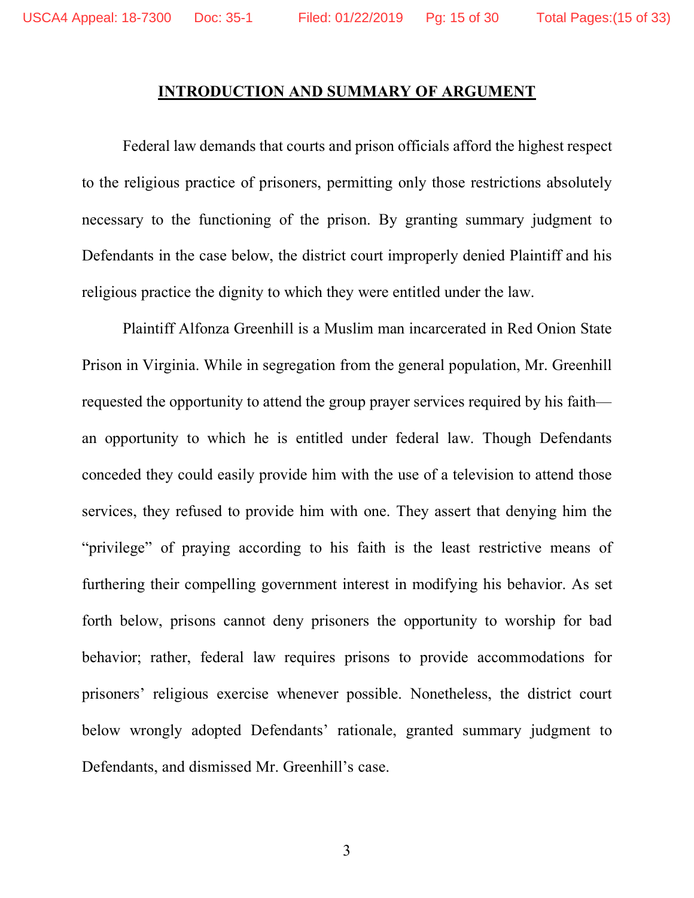### **INTRODUCTION AND SUMMARY OF ARGUMENT**

Federal law demands that courts and prison officials afford the highest respect to the religious practice of prisoners, permitting only those restrictions absolutely necessary to the functioning of the prison. By granting summary judgment to Defendants in the case below, the district court improperly denied Plaintiff and his religious practice the dignity to which they were entitled under the law.

Plaintiff Alfonza Greenhill is a Muslim man incarcerated in Red Onion State Prison in Virginia. While in segregation from the general population, Mr. Greenhill requested the opportunity to attend the group prayer services required by his faith an opportunity to which he is entitled under federal law. Though Defendants conceded they could easily provide him with the use of a television to attend those services, they refused to provide him with one. They assert that denying him the "privilege" of praying according to his faith is the least restrictive means of furthering their compelling government interest in modifying his behavior. As set forth below, prisons cannot deny prisoners the opportunity to worship for bad behavior; rather, federal law requires prisons to provide accommodations for prisoners' religious exercise whenever possible. Nonetheless, the district court below wrongly adopted Defendants' rationale, granted summary judgment to Defendants, and dismissed Mr. Greenhill's case.

3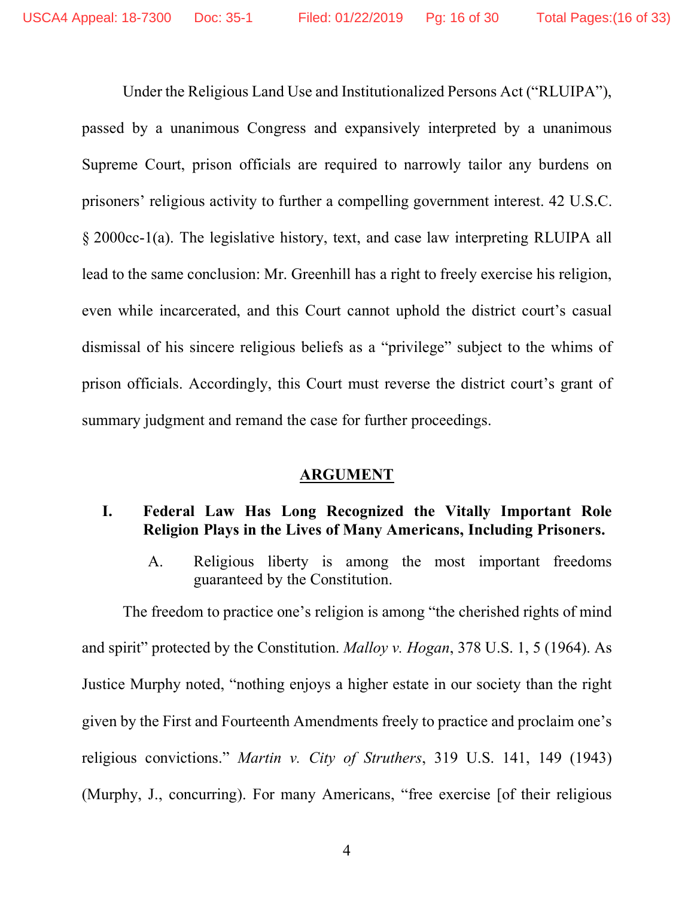Under the Religious Land Use and Institutionalized Persons Act ("RLUIPA"), passed by a unanimous Congress and expansively interpreted by a unanimous Supreme Court, prison officials are required to narrowly tailor any burdens on prisoners' religious activity to further a compelling government interest. 42 U.S.C. § 2000cc-1(a). The legislative history, text, and case law interpreting RLUIPA all lead to the same conclusion: Mr. Greenhill has a right to freely exercise his religion, even while incarcerated, and this Court cannot uphold the district court's casual dismissal of his sincere religious beliefs as a "privilege" subject to the whims of prison officials. Accordingly, this Court must reverse the district court's grant of summary judgment and remand the case for further proceedings.

### **ARGUMENT**

### **I. Federal Law Has Long Recognized the Vitally Important Role Religion Plays in the Lives of Many Americans, Including Prisoners.**

A. Religious liberty is among the most important freedoms guaranteed by the Constitution.

The freedom to practice one's religion is among "the cherished rights of mind and spirit" protected by the Constitution. *Malloy v. Hogan*, 378 U.S. 1, 5 (1964). As Justice Murphy noted, "nothing enjoys a higher estate in our society than the right given by the First and Fourteenth Amendments freely to practice and proclaim one's religious convictions." *Martin v. City of Struthers*, 319 U.S. 141, 149 (1943) (Murphy, J., concurring). For many Americans, "free exercise [of their religious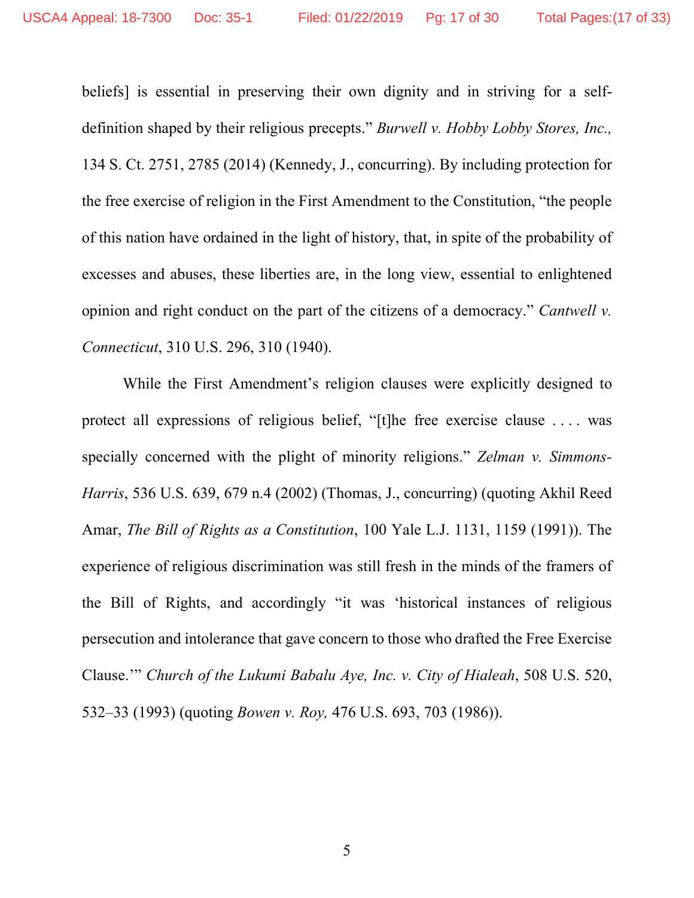beliefs] is essential in preserving their own dignity and in striving for a selfdefinition shaped by their religious precepts." *Burwell v. Hobby Lobby Stores, Inc.,* 134 S. Ct. 2751, 2785 (2014) (Kennedy, J., concurring). By including protection for the free exercise of religion in the First Amendment to the Constitution, "the people of this nation have ordained in the light of history, that, in spite of the probability of excesses and abuses, these liberties are, in the long view, essential to enlightened opinion and right conduct on the part of the citizens of a democracy." *Cantwell v. Connecticut*, 310 U.S. 296, 310 (1940).

While the First Amendment's religion clauses were explicitly designed to protect all expressions of religious belief, "[t]he free exercise clause . . . . was specially concerned with the plight of minority religions." *Zelman v. Simmons-Harris*, 536 U.S. 639, 679 n.4 (2002) (Thomas, J., concurring) (quoting Akhil Reed Amar, *The Bill of Rights as a Constitution*, 100 Yale L.J. 1131, 1159 (1991)). The experience of religious discrimination was still fresh in the minds of the framers of the Bill of Rights, and accordingly "it was 'historical instances of religious persecution and intolerance that gave concern to those who drafted the Free Exercise Clause.'" *Church of the Lukumi Babalu Aye, Inc. v. City of Hialeah*, 508 U.S. 520, 532–33 (1993) (quoting *Bowen v. Roy,* 476 U.S. 693, 703 (1986)).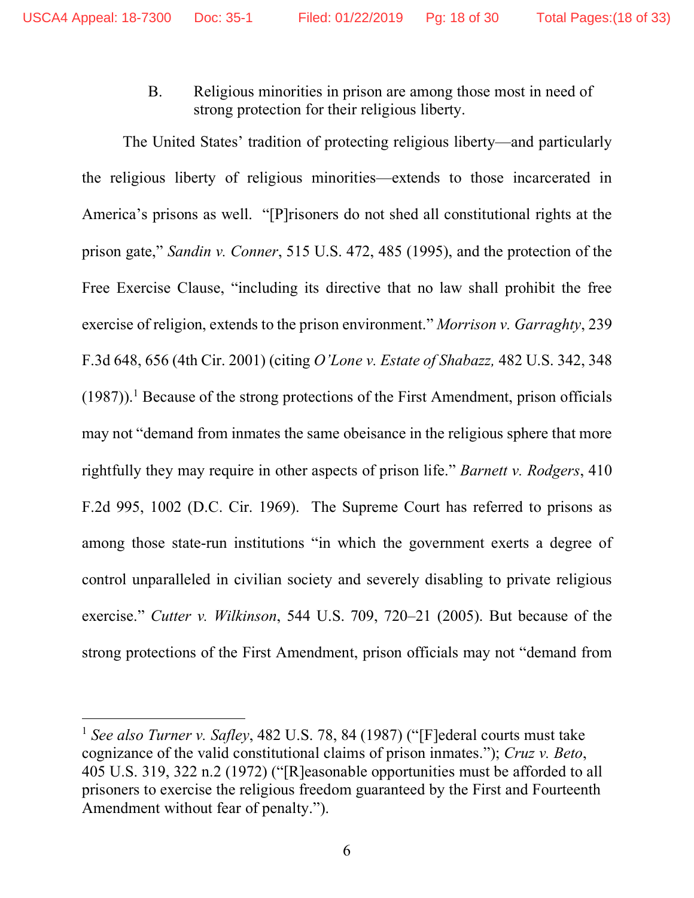B. Religious minorities in prison are among those most in need of strong protection for their religious liberty.

The United States' tradition of protecting religious liberty—and particularly the religious liberty of religious minorities—extends to those incarcerated in America's prisons as well. "[P]risoners do not shed all constitutional rights at the prison gate," *Sandin v. Conner*, 515 U.S. 472, 485 (1995), and the protection of the Free Exercise Clause, "including its directive that no law shall prohibit the free exercise of religion, extends to the prison environment." *Morrison v. Garraghty*, 239 F.3d 648, 656 (4th Cir. 2001) (citing *O'Lone v. Estate of Shabazz,* 482 U.S. 342, 348  $(1987)$ ).<sup>1</sup> Because of the strong protections of the First Amendment, prison officials may not "demand from inmates the same obeisance in the religious sphere that more rightfully they may require in other aspects of prison life." *Barnett v. Rodgers*, 410 F.2d 995, 1002 (D.C. Cir. 1969). The Supreme Court has referred to prisons as among those state-run institutions "in which the government exerts a degree of control unparalleled in civilian society and severely disabling to private religious exercise." *Cutter v. Wilkinson*, 544 U.S. 709, 720–21 (2005). But because of the strong protections of the First Amendment, prison officials may not "demand from

<u>.</u>

<sup>1</sup> *See also Turner v. Safley*, 482 U.S. 78, 84 (1987) ("[F]ederal courts must take cognizance of the valid constitutional claims of prison inmates."); *Cruz v. Beto*, 405 U.S. 319, 322 n.2 (1972) ("[R]easonable opportunities must be afforded to all prisoners to exercise the religious freedom guaranteed by the First and Fourteenth Amendment without fear of penalty.").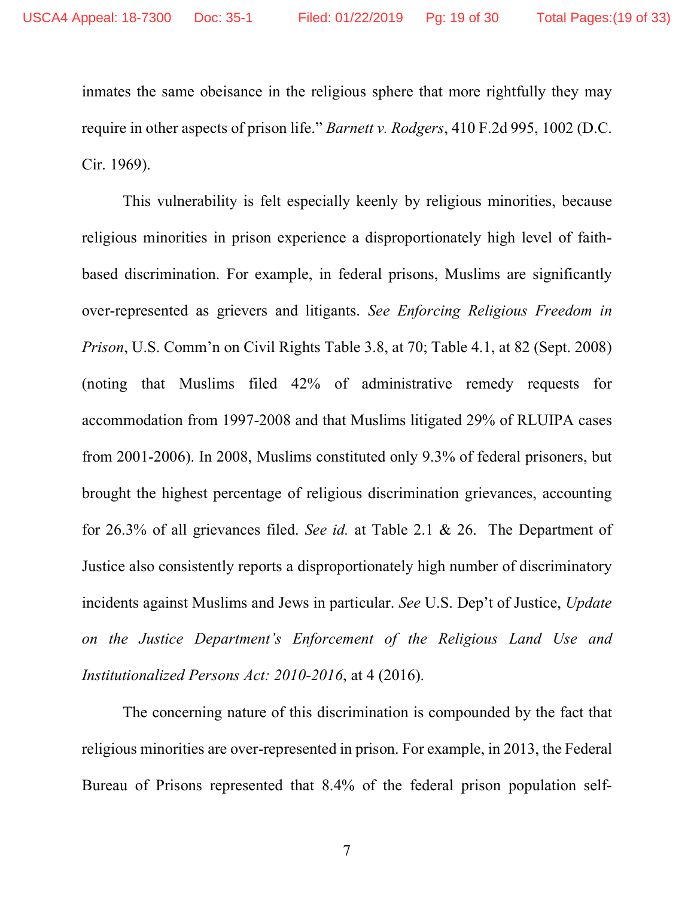inmates the same obeisance in the religious sphere that more rightfully they may require in other aspects of prison life." *Barnett v. Rodgers*, 410 F.2d 995, 1002 (D.C. Cir. 1969).

This vulnerability is felt especially keenly by religious minorities, because religious minorities in prison experience a disproportionately high level of faithbased discrimination. For example, in federal prisons, Muslims are significantly over-represented as grievers and litigants. *See Enforcing Religious Freedom in Prison*, U.S. Comm'n on Civil Rights Table 3.8, at 70; Table 4.1, at 82 (Sept. 2008) (noting that Muslims filed 42% of administrative remedy requests for accommodation from 1997-2008 and that Muslims litigated 29% of RLUIPA cases from 2001-2006). In 2008, Muslims constituted only 9.3% of federal prisoners, but brought the highest percentage of religious discrimination grievances, accounting for 26.3% of all grievances filed. *See id.* at Table 2.1 & 26. The Department of Justice also consistently reports a disproportionately high number of discriminatory incidents against Muslims and Jews in particular. *See* U.S. Dep't of Justice, *Update on the Justice Department's Enforcement of the Religious Land Use and Institutionalized Persons Act: 2010-2016*, at 4 (2016).

The concerning nature of this discrimination is compounded by the fact that religious minorities are over-represented in prison. For example, in 2013, the Federal Bureau of Prisons represented that 8.4% of the federal prison population self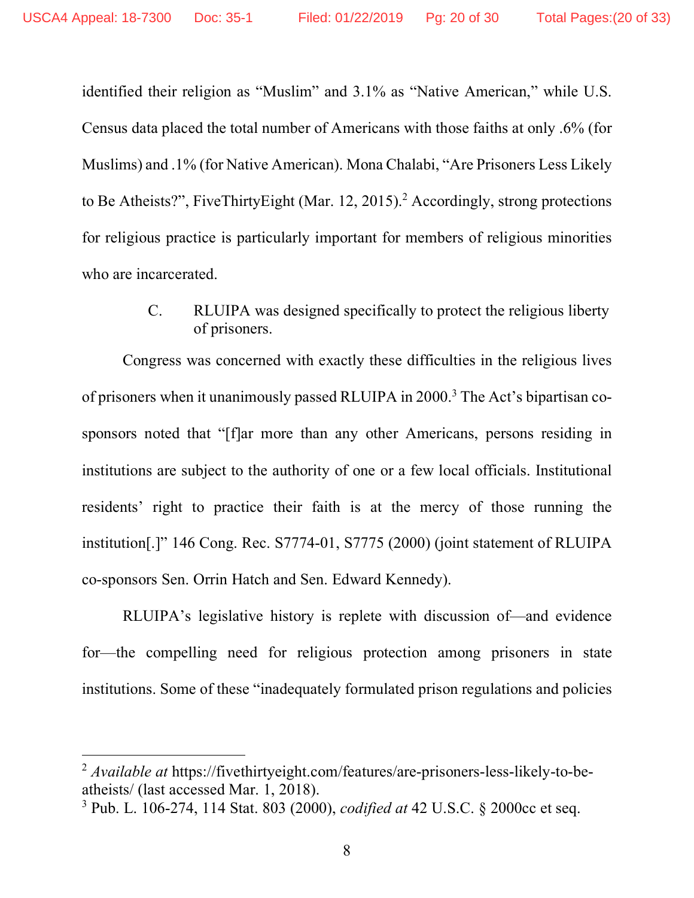identified their religion as "Muslim" and 3.1% as "Native American," while U.S. Census data placed the total number of Americans with those faiths at only .6% (for Muslims) and .1% (for Native American). Mona Chalabi, "Are Prisoners Less Likely to Be Atheists?", FiveThirtyEight (Mar. 12, 2015). <sup>2</sup> Accordingly, strong protections for religious practice is particularly important for members of religious minorities who are incarcerated.

> C. RLUIPA was designed specifically to protect the religious liberty of prisoners.

Congress was concerned with exactly these difficulties in the religious lives of prisoners when it unanimously passed RLUIPA in 2000. <sup>3</sup> The Act's bipartisan cosponsors noted that "[f]ar more than any other Americans, persons residing in institutions are subject to the authority of one or a few local officials. Institutional residents' right to practice their faith is at the mercy of those running the institution[.]" 146 Cong. Rec. S7774-01, S7775 (2000) (joint statement of RLUIPA co-sponsors Sen. Orrin Hatch and Sen. Edward Kennedy).

RLUIPA's legislative history is replete with discussion of—and evidence for—the compelling need for religious protection among prisoners in state institutions. Some of these "inadequately formulated prison regulations and policies

 $\overline{a}$ 

<sup>2</sup> *Available at* https://fivethirtyeight.com/features/are-prisoners-less-likely-to-beatheists/ (last accessed Mar. 1, 2018).

<sup>3</sup> Pub. L. 106-274, 114 Stat. 803 (2000), *codified at* 42 U.S.C. § 2000cc et seq.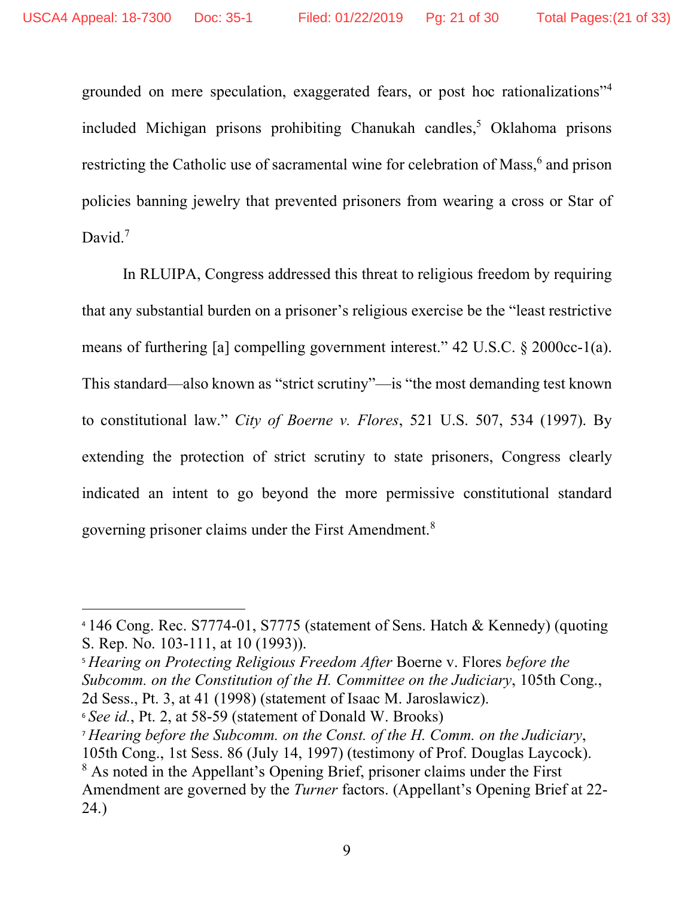grounded on mere speculation, exaggerated fears, or post hoc rationalizations"4 included Michigan prisons prohibiting Chanukah candles,<sup>5</sup> Oklahoma prisons restricting the Catholic use of sacramental wine for celebration of Mass,<sup>6</sup> and prison policies banning jewelry that prevented prisoners from wearing a cross or Star of David.<sup>7</sup>

In RLUIPA, Congress addressed this threat to religious freedom by requiring that any substantial burden on a prisoner's religious exercise be the "least restrictive means of furthering [a] compelling government interest." 42 U.S.C. § 2000cc-1(a). This standard—also known as "strict scrutiny"—is "the most demanding test known to constitutional law." *City of Boerne v. Flores*, 521 U.S. 507, 534 (1997). By extending the protection of strict scrutiny to state prisoners, Congress clearly indicated an intent to go beyond the more permissive constitutional standard governing prisoner claims under the First Amendment.<sup>8</sup>

 $\overline{a}$ 

<sup>4</sup> 146 Cong. Rec. S7774-01, S7775 (statement of Sens. Hatch & Kennedy) (quoting S. Rep. No. 103-111, at 10 (1993)).

<sup>5</sup> *Hearing on Protecting Religious Freedom After* Boerne v. Flores *before the Subcomm. on the Constitution of the H. Committee on the Judiciary*, 105th Cong., 2d Sess., Pt. 3, at 41 (1998) (statement of Isaac M. Jaroslawicz).

<sup>6</sup> *See id.*, Pt. 2, at 58-59 (statement of Donald W. Brooks)

<sup>7</sup> *Hearing before the Subcomm. on the Const. of the H. Comm. on the Judiciary*,

<sup>105</sup>th Cong., 1st Sess. 86 (July 14, 1997) (testimony of Prof. Douglas Laycock).

<sup>8</sup> As noted in the Appellant's Opening Brief, prisoner claims under the First Amendment are governed by the *Turner* factors. (Appellant's Opening Brief at 22- 24.)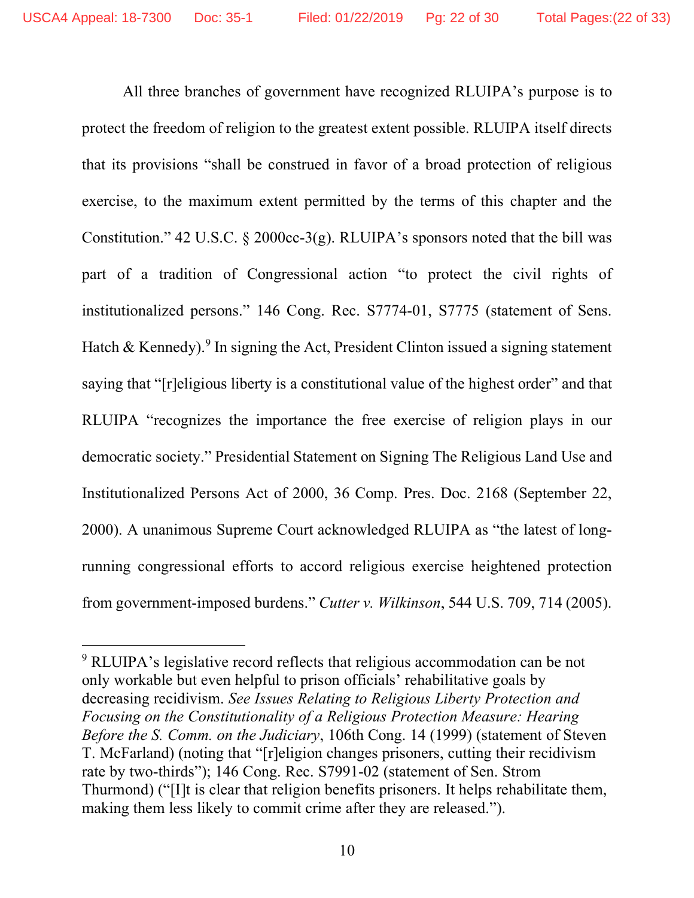All three branches of government have recognized RLUIPA's purpose is to protect the freedom of religion to the greatest extent possible. RLUIPA itself directs that its provisions "shall be construed in favor of a broad protection of religious exercise, to the maximum extent permitted by the terms of this chapter and the Constitution." 42 U.S.C. § 2000cc-3(g). RLUIPA's sponsors noted that the bill was part of a tradition of Congressional action "to protect the civil rights of institutionalized persons." 146 Cong. Rec. S7774-01, S7775 (statement of Sens. Hatch & Kennedy).<sup>9</sup> In signing the Act, President Clinton issued a signing statement saying that "[r]eligious liberty is a constitutional value of the highest order" and that RLUIPA "recognizes the importance the free exercise of religion plays in our democratic society." Presidential Statement on Signing The Religious Land Use and Institutionalized Persons Act of 2000, 36 Comp. Pres. Doc. 2168 (September 22, 2000). A unanimous Supreme Court acknowledged RLUIPA as "the latest of longrunning congressional efforts to accord religious exercise heightened protection from government-imposed burdens." *Cutter v. Wilkinson*, 544 U.S. 709, 714 (2005).

 $\overline{a}$ 

<sup>9</sup> RLUIPA's legislative record reflects that religious accommodation can be not only workable but even helpful to prison officials' rehabilitative goals by decreasing recidivism. *See Issues Relating to Religious Liberty Protection and Focusing on the Constitutionality of a Religious Protection Measure: Hearing Before the S. Comm. on the Judiciary*, 106th Cong. 14 (1999) (statement of Steven T. McFarland) (noting that "[r]eligion changes prisoners, cutting their recidivism rate by two-thirds"); 146 Cong. Rec. S7991-02 (statement of Sen. Strom Thurmond) ("[I]t is clear that religion benefits prisoners. It helps rehabilitate them, making them less likely to commit crime after they are released.").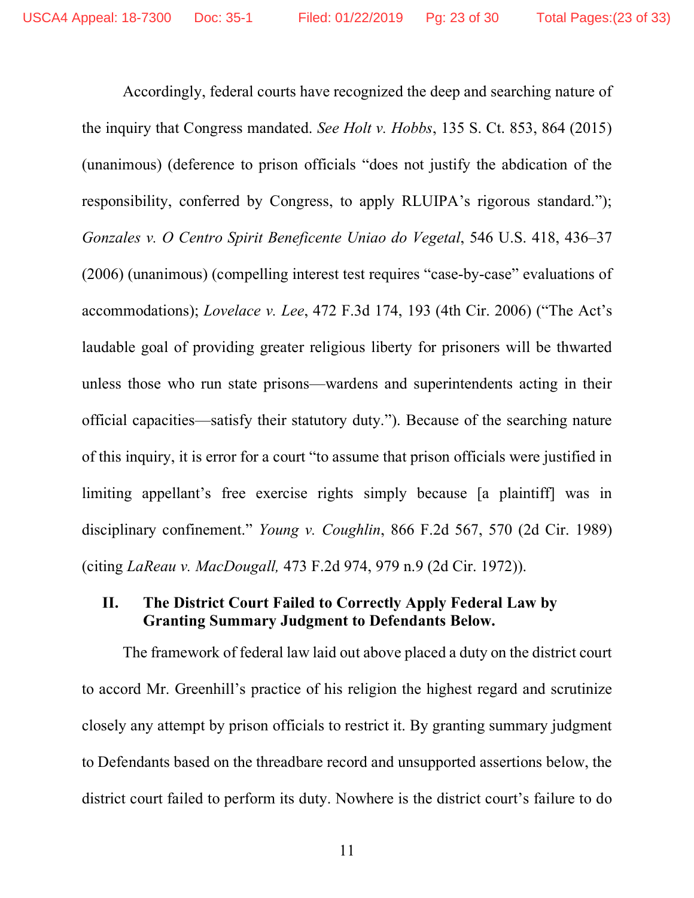Accordingly, federal courts have recognized the deep and searching nature of the inquiry that Congress mandated. *See Holt v. Hobbs*, 135 S. Ct. 853, 864 (2015) (unanimous) (deference to prison officials "does not justify the abdication of the responsibility, conferred by Congress, to apply RLUIPA's rigorous standard."); *Gonzales v. O Centro Spirit Beneficente Uniao do Vegetal*, 546 U.S. 418, 436–37 (2006) (unanimous) (compelling interest test requires "case-by-case" evaluations of accommodations); *Lovelace v. Lee*, 472 F.3d 174, 193 (4th Cir. 2006) ("The Act's laudable goal of providing greater religious liberty for prisoners will be thwarted unless those who run state prisons—wardens and superintendents acting in their official capacities—satisfy their statutory duty."). Because of the searching nature of this inquiry, it is error for a court "to assume that prison officials were justified in limiting appellant's free exercise rights simply because [a plaintiff] was in disciplinary confinement." *Young v. Coughlin*, 866 F.2d 567, 570 (2d Cir. 1989) (citing *LaReau v. MacDougall,* 473 F.2d 974, 979 n.9 (2d Cir. 1972)).

### **II. The District Court Failed to Correctly Apply Federal Law by Granting Summary Judgment to Defendants Below.**

The framework of federal law laid out above placed a duty on the district court to accord Mr. Greenhill's practice of his religion the highest regard and scrutinize closely any attempt by prison officials to restrict it. By granting summary judgment to Defendants based on the threadbare record and unsupported assertions below, the district court failed to perform its duty. Nowhere is the district court's failure to do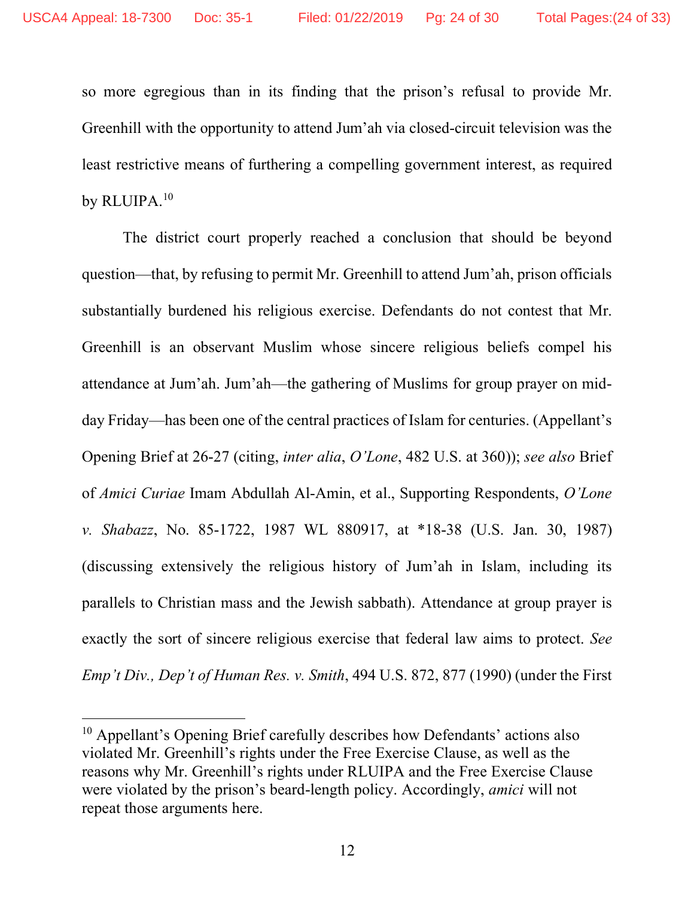so more egregious than in its finding that the prison's refusal to provide Mr. Greenhill with the opportunity to attend Jum'ah via closed-circuit television was the least restrictive means of furthering a compelling government interest, as required by RLUIPA.<sup>10</sup>

The district court properly reached a conclusion that should be beyond question—that, by refusing to permit Mr. Greenhill to attend Jum'ah, prison officials substantially burdened his religious exercise. Defendants do not contest that Mr. Greenhill is an observant Muslim whose sincere religious beliefs compel his attendance at Jum'ah. Jum'ah—the gathering of Muslims for group prayer on midday Friday—has been one of the central practices of Islam for centuries. (Appellant's Opening Brief at 26-27 (citing, *inter alia*, *O'Lone*, 482 U.S. at 360)); *see also* Brief of *Amici Curiae* Imam Abdullah Al-Amin, et al., Supporting Respondents, *O'Lone v. Shabazz*, No. 85-1722, 1987 WL 880917, at \*18-38 (U.S. Jan. 30, 1987) (discussing extensively the religious history of Jum'ah in Islam, including its parallels to Christian mass and the Jewish sabbath). Attendance at group prayer is exactly the sort of sincere religious exercise that federal law aims to protect. *See Emp't Div., Dep't of Human Res. v. Smith*, 494 U.S. 872, 877 (1990) (under the First

<u>.</u>

<sup>10</sup> Appellant's Opening Brief carefully describes how Defendants' actions also violated Mr. Greenhill's rights under the Free Exercise Clause, as well as the reasons why Mr. Greenhill's rights under RLUIPA and the Free Exercise Clause were violated by the prison's beard-length policy. Accordingly, *amici* will not repeat those arguments here.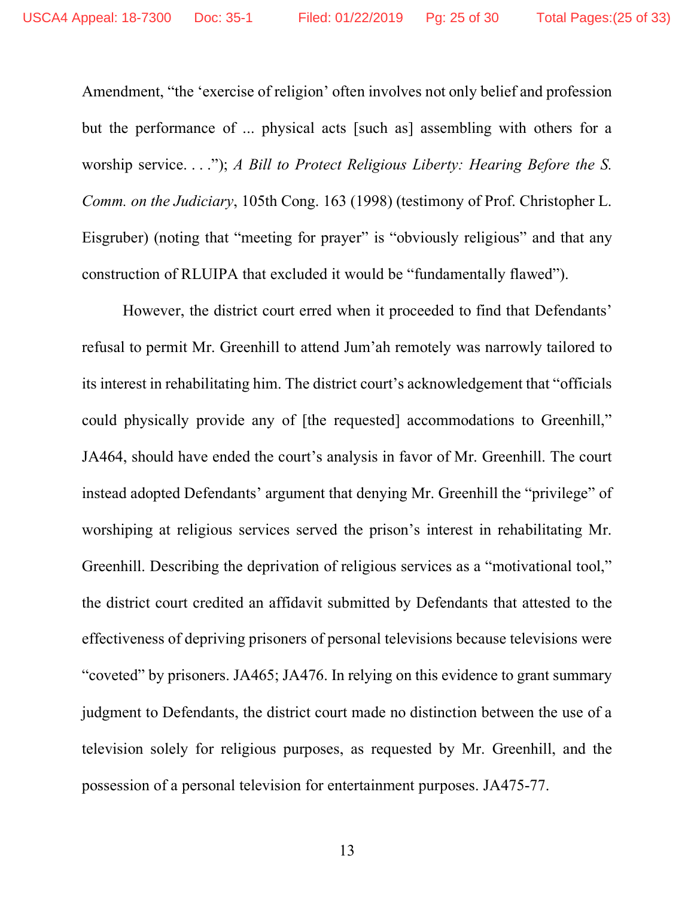Amendment, "the 'exercise of religion' often involves not only belief and profession but the performance of ... physical acts [such as] assembling with others for a worship service. . . ."); *A Bill to Protect Religious Liberty: Hearing Before the S. Comm. on the Judiciary*, 105th Cong. 163 (1998) (testimony of Prof. Christopher L. Eisgruber) (noting that "meeting for prayer" is "obviously religious" and that any construction of RLUIPA that excluded it would be "fundamentally flawed").

However, the district court erred when it proceeded to find that Defendants' refusal to permit Mr. Greenhill to attend Jum'ah remotely was narrowly tailored to its interest in rehabilitating him. The district court's acknowledgement that "officials could physically provide any of [the requested] accommodations to Greenhill," JA464, should have ended the court's analysis in favor of Mr. Greenhill. The court instead adopted Defendants' argument that denying Mr. Greenhill the "privilege" of worshiping at religious services served the prison's interest in rehabilitating Mr. Greenhill. Describing the deprivation of religious services as a "motivational tool," the district court credited an affidavit submitted by Defendants that attested to the effectiveness of depriving prisoners of personal televisions because televisions were "coveted" by prisoners. JA465; JA476. In relying on this evidence to grant summary judgment to Defendants, the district court made no distinction between the use of a television solely for religious purposes, as requested by Mr. Greenhill, and the possession of a personal television for entertainment purposes. JA475-77.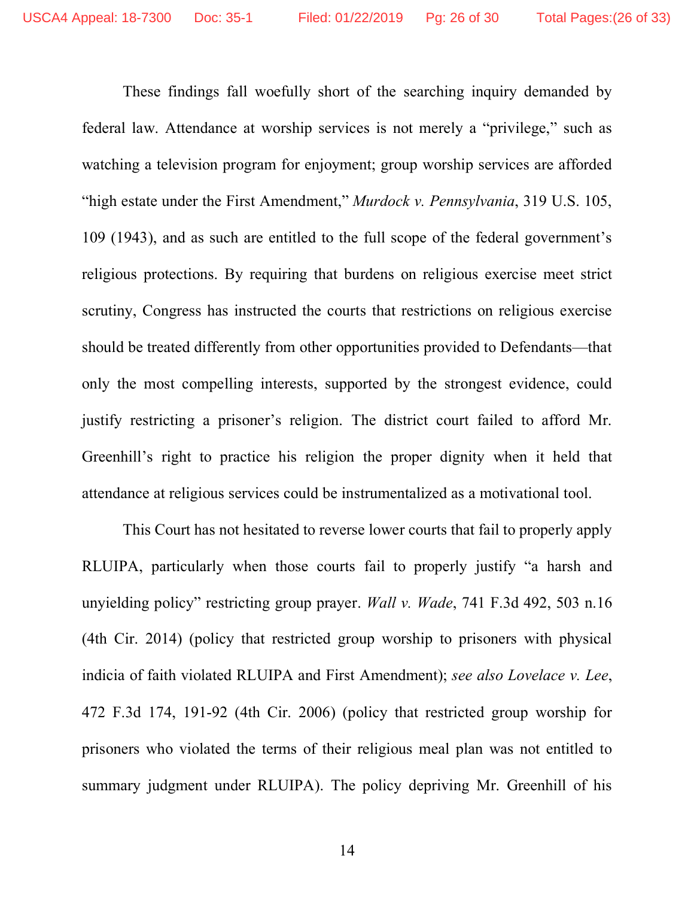These findings fall woefully short of the searching inquiry demanded by federal law. Attendance at worship services is not merely a "privilege," such as watching a television program for enjoyment; group worship services are afforded "high estate under the First Amendment," *Murdock v. Pennsylvania*, 319 U.S. 105, 109 (1943), and as such are entitled to the full scope of the federal government's religious protections. By requiring that burdens on religious exercise meet strict scrutiny, Congress has instructed the courts that restrictions on religious exercise should be treated differently from other opportunities provided to Defendants—that only the most compelling interests, supported by the strongest evidence, could justify restricting a prisoner's religion. The district court failed to afford Mr. Greenhill's right to practice his religion the proper dignity when it held that attendance at religious services could be instrumentalized as a motivational tool.

This Court has not hesitated to reverse lower courts that fail to properly apply RLUIPA, particularly when those courts fail to properly justify "a harsh and unyielding policy" restricting group prayer. *Wall v. Wade*, 741 F.3d 492, 503 n.16 (4th Cir. 2014) (policy that restricted group worship to prisoners with physical indicia of faith violated RLUIPA and First Amendment); *see also Lovelace v. Lee*, 472 F.3d 174, 191-92 (4th Cir. 2006) (policy that restricted group worship for prisoners who violated the terms of their religious meal plan was not entitled to summary judgment under RLUIPA). The policy depriving Mr. Greenhill of his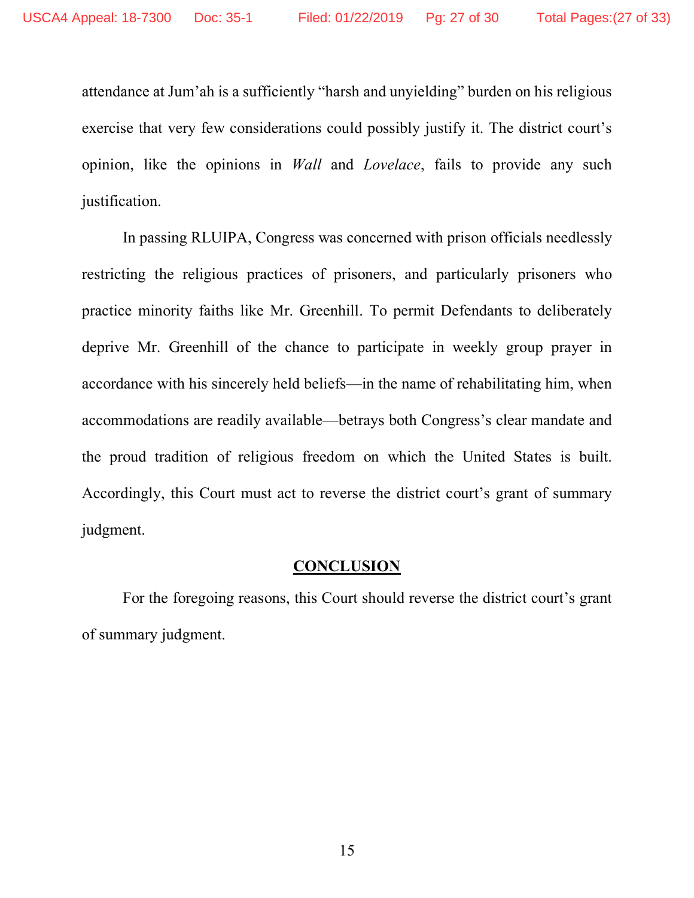attendance at Jum'ah is a sufficiently "harsh and unyielding" burden on his religious exercise that very few considerations could possibly justify it. The district court's opinion, like the opinions in *Wall* and *Lovelace*, fails to provide any such justification.

In passing RLUIPA, Congress was concerned with prison officials needlessly restricting the religious practices of prisoners, and particularly prisoners who practice minority faiths like Mr. Greenhill. To permit Defendants to deliberately deprive Mr. Greenhill of the chance to participate in weekly group prayer in accordance with his sincerely held beliefs—in the name of rehabilitating him, when accommodations are readily available—betrays both Congress's clear mandate and the proud tradition of religious freedom on which the United States is built. Accordingly, this Court must act to reverse the district court's grant of summary judgment.

### **CONCLUSION**

For the foregoing reasons, this Court should reverse the district court's grant of summary judgment.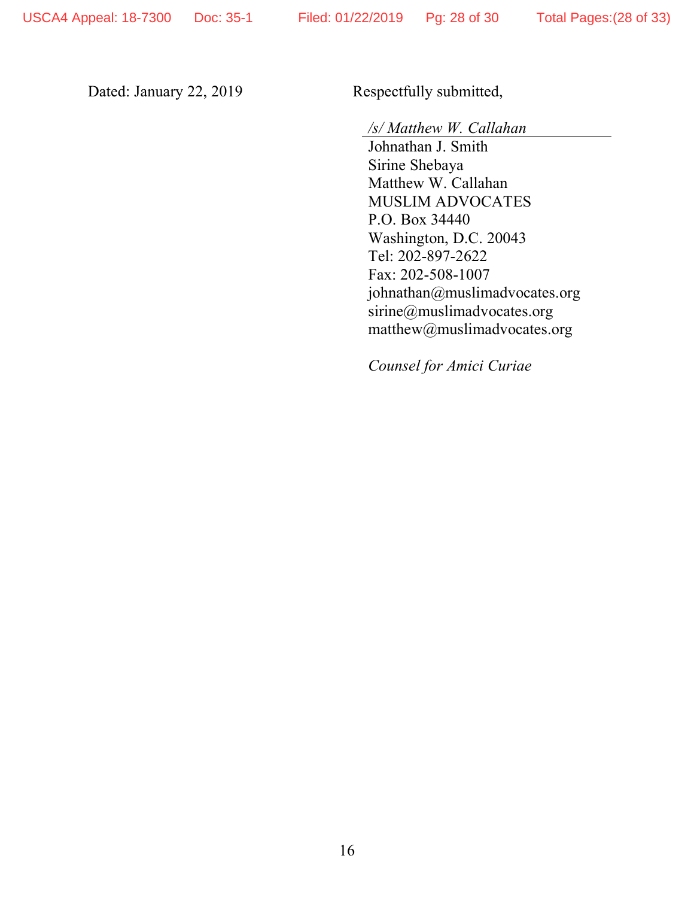Dated: January 22, 2019 Respectfully submitted,

*/s/ Matthew W. Callahan*

Johnathan J. Smith Sirine Shebaya Matthew W. Callahan MUSLIM ADVOCATES P.O. Box 34440 Washington, D.C. 20043 Tel: 202-897-2622 Fax: 202-508-1007 johnathan@muslimadvocates.org sirine@muslimadvocates.org matthew@muslimadvocates.org

*Counsel for Amici Curiae*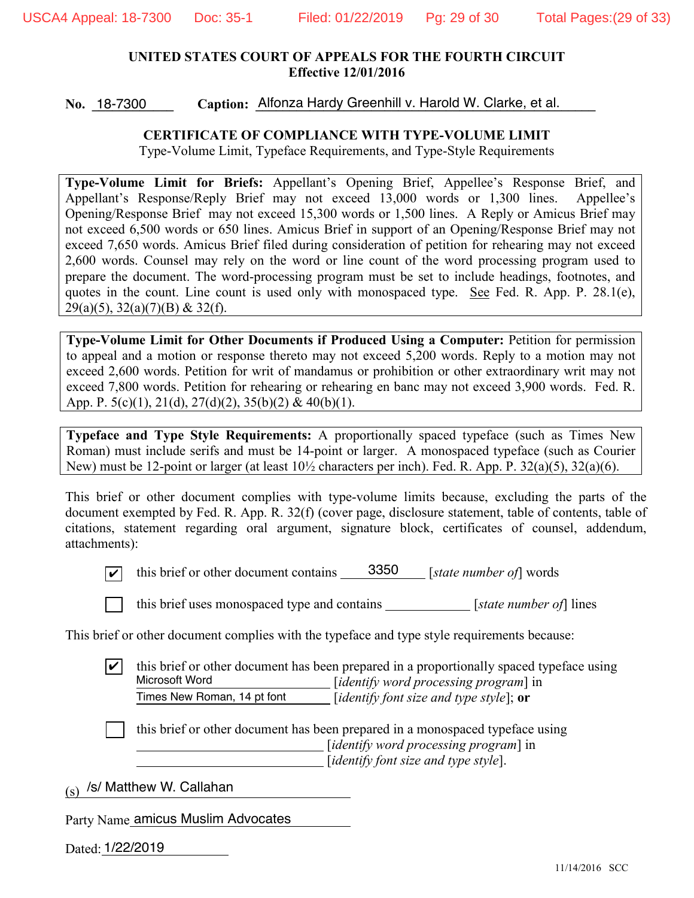### **UNITED STATES COURT OF APPEALS FOR THE FOURTH CIRCUIT Effective 12/01/2016**

No. 18-7300 Caption: Alfonza Hardy Greenhill v. Harold W. Clarke, et al. No. 18-7300

#### **CERTIFICATE OF COMPLIANCE WITH TYPE-VOLUME LIMIT**

Type-Volume Limit, Typeface Requirements, and Type-Style Requirements

**Type-Volume Limit for Briefs:** Appellant's Opening Brief, Appellee's Response Brief, and Appellant's Response/Reply Brief may not exceed 13,000 words or 1,300 lines. Appellee's Opening/Response Brief may not exceed 15,300 words or 1,500 lines. A Reply or Amicus Brief may not exceed 6,500 words or 650 lines. Amicus Brief in support of an Opening/Response Brief may not exceed 7,650 words. Amicus Brief filed during consideration of petition for rehearing may not exceed 2,600 words. Counsel may rely on the word or line count of the word processing program used to prepare the document. The word-processing program must be set to include headings, footnotes, and quotes in the count. Line count is used only with monospaced type. See Fed. R. App. P. 28.1(e), 29(a)(5), 32(a)(7)(B) & 32(f).

**Type-Volume Limit for Other Documents if Produced Using a Computer:** Petition for permission to appeal and a motion or response thereto may not exceed 5,200 words. Reply to a motion may not exceed 2,600 words. Petition for writ of mandamus or prohibition or other extraordinary writ may not exceed 7,800 words. Petition for rehearing or rehearing en banc may not exceed 3,900 words. Fed. R. App. P.  $5(c)(1)$ ,  $21(d)$ ,  $27(d)(2)$ ,  $35(b)(2)$  &  $40(b)(1)$ .

**Typeface and Type Style Requirements:** A proportionally spaced typeface (such as Times New Roman) must include serifs and must be 14-point or larger. A monospaced typeface (such as Courier New) must be 12-point or larger (at least 10½ characters per inch). Fed. R. App. P. 32(a)(5), 32(a)(6).

This brief or other document complies with type-volume limits because, excluding the parts of the document exempted by Fed. R. App. R. 32(f) (cover page, disclosure statement, table of contents, table of citations, statement regarding oral argument, signature block, certificates of counsel, addendum, attachments):



 $\boxed{\checkmark}$  this brief or other document contains  $\boxed{3350}$  [state number of] words



[ ] this brief uses monospaced type and contains [*state number of*] lines

This brief or other document complies with the typeface and type style requirements because:

[ ] this brief or other document has been prepared in a proportionally spaced typeface using [*identify word processing program*] in [*identify font size and type style*]; **or**  $|\boldsymbol{v}|$ Microsoft Word Times New Roman, 14 pt font

this brief or other document has been prepared in a monospaced typeface using [*identify word processing program*] in [*identify font size and type style*].

 $_{\rm (s)}$  /s/ Matthew W. Callahan

Party Name amicus Muslim Advocates

Dated: 1/22/2019